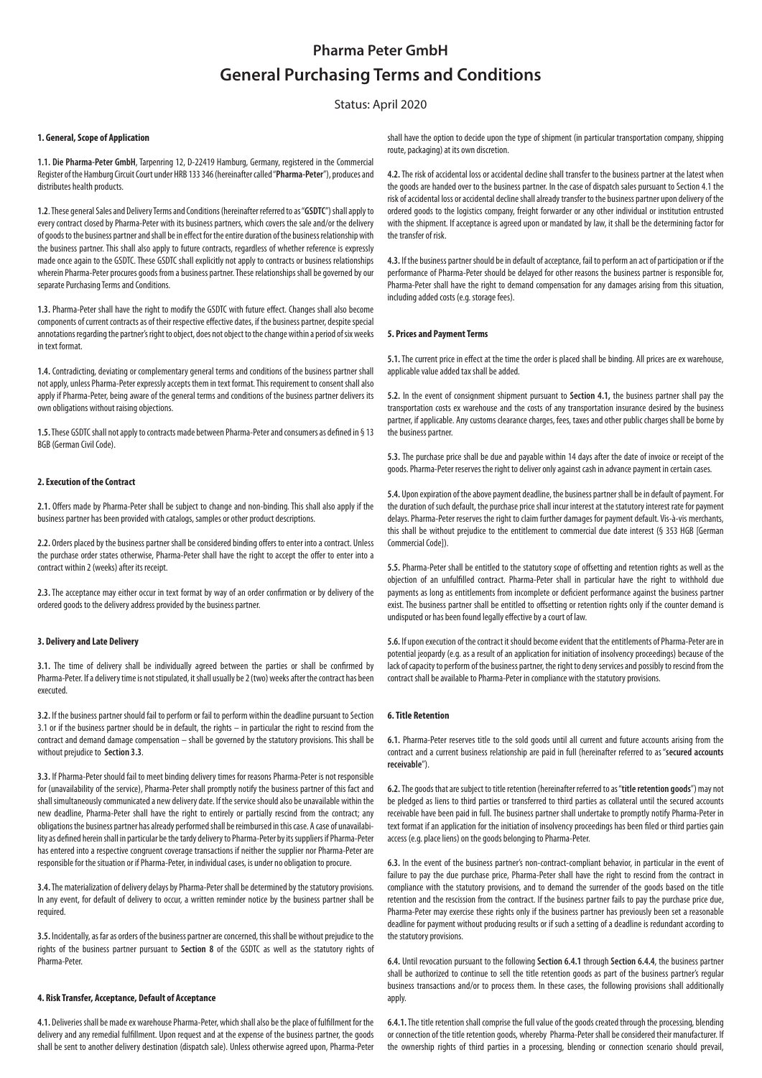# **Pharma Peter GmbH General Purchasing Terms and Conditions**

# Status: April 2020

#### **1. General, Scope of Application**

**1.1. Die Pharma-Peter GmbH**, Tarpenring 12, D-22419 Hamburg, Germany, registered in the Commercial Register of the Hamburg Circuit Court under HRB 133 346 (hereinafter called "**Pharma-Peter**"), produces and distributes health products.

**1.2**. These general Sales and Delivery Terms and Conditions (hereinafter referred to as "**GSDTC**") shall apply to every contract closed by Pharma-Peter with its business partners, which covers the sale and/or the delivery of goods to the business partner and shall be in effect for the entire duration of the business relationship with the business partner. This shall also apply to future contracts, regardless of whether reference is expressly made once again to the GSDTC. These GSDTC shall explicitly not apply to contracts or business relationships wherein Pharma-Peter procures goods from a business partner. These relationships shall be governed by our separate Purchasing Terms and Conditions.

**1.3.** Pharma-Peter shall have the right to modify the GSDTC with future effect. Changes shall also become components of current contracts as of their respective effective dates, if the business partner, despite special annotations regarding the partner's right to object, does not object to the change within a period of six weeks in text format.

**1.4.** Contradicting, deviating or complementary general terms and conditions of the business partner shall not apply, unless Pharma-Peter expressly accepts them in text format. This requirement to consent shall also apply if Pharma-Peter, being aware of the general terms and conditions of the business partner delivers its own obligations without raising objections.

**1.5.** These GSDTC shall not apply to contracts made between Pharma-Peter and consumers as defined in § 13 BGB (German Civil Code).

# **2. Execution of the Contract**

**2.1.** Offers made by Pharma-Peter shall be subject to change and non-binding. This shall also apply if the business partner has been provided with catalogs, samples or other product descriptions.

**2.2.** Orders placed by the business partner shall be considered binding offers to enter into a contract. Unless the purchase order states otherwise, Pharma-Peter shall have the right to accept the offer to enter into a contract within 2 (weeks) after its receipt.

**2.3.** The acceptance may either occur in text format by way of an order confirmation or by delivery of the ordered goods to the delivery address provided by the business partner.

#### **3. Delivery and Late Delivery**

**3.1.** The time of delivery shall be individually agreed between the parties or shall be confirmed by Pharma-Peter. If a delivery time is not stipulated, it shall usually be 2 (two) weeks after the contract has been executed.

**3.2.** If the business partner should fail to perform or fail to perform within the deadline pursuant to Section 3.1 or if the business partner should be in default, the rights – in particular the right to rescind from the contract and demand damage compensation – shall be governed by the statutory provisions. This shall be without prejudice to **Section 3.3**.

**3.3.** If Pharma-Peter should fail to meet binding delivery times for reasons Pharma-Peter is not responsible for (unavailability of the service), Pharma-Peter shall promptly notify the business partner of this fact and shall simultaneously communicated a new delivery date. If the service should also be unavailable within the new deadline, Pharma-Peter shall have the right to entirely or partially rescind from the contract; any obligations the business partner has already performed shall be reimbursed in this case. A case of unavailability as defined herein shall in particular be the tardy delivery to Pharma-Peter by its suppliers if Pharma-Peter has entered into a respective congruent coverage transactions if neither the supplier nor Pharma-Peter are responsible for the situation or if Pharma-Peter, in individual cases, is under no obligation to procure.

**3.4.** The materialization of delivery delays by Pharma-Peter shall be determined by the statutory provisions. In any event, for default of delivery to occur, a written reminder notice by the business partner shall be required.

**3.5.** Incidentally, as far as orders of the business partner are concerned, this shall be without prejudice to the rights of the business partner pursuant to **Section 8** of the GSDTC as well as the statutory rights of Pharma-Peter.

#### **4. Risk Transfer, Acceptance, Default of Acceptance**

**4.1.** Deliveries shall be made ex warehouse Pharma-Peter, which shall also be the place of fulfillment for the delivery and any remedial fulfillment. Upon request and at the expense of the business partner, the goods shall be sent to another delivery destination (dispatch sale). Unless otherwise agreed upon, Pharma-Peter shall have the option to decide upon the type of shipment (in particular transportation company, shipping route, packaging) at its own discretion.

**4.2.** The risk of accidental loss or accidental decline shall transfer to the business partner at the latest when the goods are handed over to the business partner. In the case of dispatch sales pursuant to Section 4.1 the risk of accidental loss or accidental decline shall already transfer to the business partner upon delivery of the ordered goods to the logistics company, freight forwarder or any other individual or institution entrusted with the shipment. If acceptance is agreed upon or mandated by law, it shall be the determining factor for the transfer of rick.

**4.3.** If the business partner should be in default of acceptance, fail to perform an act of participation or if the performance of Pharma-Peter should be delayed for other reasons the business partner is responsible for, Pharma-Peter shall have the right to demand compensation for any damages arising from this situation, including added costs (e.g. storage fees).

### **5. Prices and Payment Terms**

**5.1.** The current price in effect at the time the order is placed shall be binding. All prices are ex warehouse, applicable value added tax shall be added.

**5.2.** In the event of consignment shipment pursuant to **Section 4.1,** the business partner shall pay the transportation costs ex warehouse and the costs of any transportation insurance desired by the business partner, if applicable. Any customs clearance charges, fees, taxes and other public charges shall be borne by the business partner.

**5.3.** The purchase price shall be due and payable within 14 days after the date of invoice or receipt of the goods. Pharma-Peter reserves the right to deliver only against cash in advance payment in certain cases.

**5.4.** Upon expiration of the above payment deadline, the business partner shall be in default of payment. For the duration of such default, the purchase price shall incur interest at the statutory interest rate for payment delays. Pharma-Peter reserves the right to claim further damages for payment default. Vis-à-vis merchants, this shall be without prejudice to the entitlement to commercial due date interest (§ 353 HGB [German Commercial Code]).

**5.5.** Pharma-Peter shall be entitled to the statutory scope of offsetting and retention rights as well as the objection of an unfulfilled contract. Pharma-Peter shall in particular have the right to withhold due payments as long as entitlements from incomplete or deficient performance against the business partner exist. The business partner shall be entitled to offsetting or retention rights only if the counter demand is undisputed or has been found legally effective by a court of law.

**5.6.** If upon execution of the contract it should become evident that the entitlements of Pharma-Peter are in potential jeopardy (e.g. as a result of an application for initiation of insolvency proceedings) because of the lack of capacity to perform of the business partner, the right to deny services and possibly to rescind from the contract shall be available to Pharma-Peter in compliance with the statutory provisions.

#### **6. Title Retention**

**6.1.** Pharma-Peter reserves title to the sold goods until all current and future accounts arising from the contract and a current business relationship are paid in full (hereinafter referred to as "**secured accounts receivable**").

**6.2.** The goods that are subject to title retention (hereinafter referred to as "**title retention goods**") may not be pledged as liens to third parties or transferred to third parties as collateral until the secured accounts receivable have been paid in full. The business partner shall undertake to promptly notify Pharma-Peter in text format if an application for the initiation of insolvency proceedings has been filed or third parties gain access (e.g. place liens) on the goods belonging to Pharma-Peter.

**6.3.** In the event of the business partner's non-contract-compliant behavior, in particular in the event of failure to pay the due purchase price, Pharma-Peter shall have the right to rescind from the contract in compliance with the statutory provisions, and to demand the surrender of the goods based on the title retention and the rescission from the contract. If the business partner fails to pay the purchase price due, Pharma-Peter may exercise these rights only if the business partner has previously been set a reasonable deadline for payment without producing results or if such a setting of a deadline is redundant according to the statutory provisions.

**6.4.** Until revocation pursuant to the following **Section 6.4.1** through **Section 6.4.4**, the business partner shall be authorized to continue to sell the title retention goods as part of the business partner's regular business transactions and/or to process them. In these cases, the following provisions shall additionally apply.

**6.4.1.** The title retention shall comprise the full value of the goods created through the processing, blending or connection of the title retention goods, whereby Pharma-Peter shall be considered their manufacturer. If the ownership rights of third parties in a processing, blending or connection scenario should prevail,